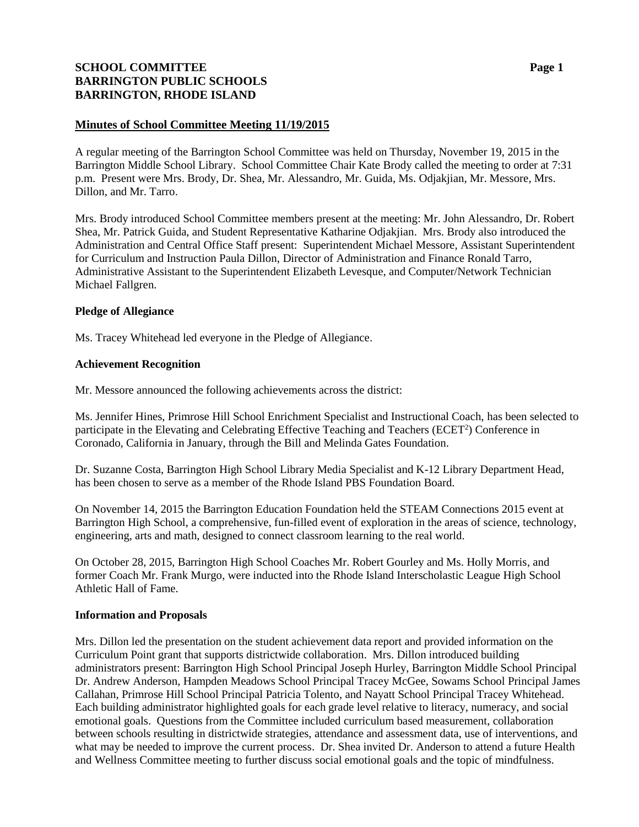# **SCHOOL COMMITTEE Page 1 BARRINGTON PUBLIC SCHOOLS BARRINGTON, RHODE ISLAND**

### **Minutes of School Committee Meeting 11/19/2015**

A regular meeting of the Barrington School Committee was held on Thursday, November 19, 2015 in the Barrington Middle School Library. School Committee Chair Kate Brody called the meeting to order at 7:31 p.m. Present were Mrs. Brody, Dr. Shea, Mr. Alessandro, Mr. Guida, Ms. Odjakjian, Mr. Messore, Mrs. Dillon, and Mr. Tarro.

Mrs. Brody introduced School Committee members present at the meeting: Mr. John Alessandro, Dr. Robert Shea, Mr. Patrick Guida, and Student Representative Katharine Odjakjian. Mrs. Brody also introduced the Administration and Central Office Staff present: Superintendent Michael Messore, Assistant Superintendent for Curriculum and Instruction Paula Dillon, Director of Administration and Finance Ronald Tarro, Administrative Assistant to the Superintendent Elizabeth Levesque, and Computer/Network Technician Michael Fallgren.

### **Pledge of Allegiance**

Ms. Tracey Whitehead led everyone in the Pledge of Allegiance.

### **Achievement Recognition**

Mr. Messore announced the following achievements across the district:

Ms. Jennifer Hines, Primrose Hill School Enrichment Specialist and Instructional Coach, has been selected to participate in the Elevating and Celebrating Effective Teaching and Teachers (ECET<sup>2</sup>) Conference in Coronado, California in January, through the Bill and Melinda Gates Foundation.

Dr. Suzanne Costa, Barrington High School Library Media Specialist and K-12 Library Department Head, has been chosen to serve as a member of the Rhode Island PBS Foundation Board.

On November 14, 2015 the Barrington Education Foundation held the STEAM Connections 2015 event at Barrington High School, a comprehensive, fun-filled event of exploration in the areas of science, technology, engineering, arts and math, designed to connect classroom learning to the real world.

On October 28, 2015, Barrington High School Coaches Mr. Robert Gourley and Ms. Holly Morris, and former Coach Mr. Frank Murgo, were inducted into the Rhode Island Interscholastic League High School Athletic Hall of Fame.

### **Information and Proposals**

Mrs. Dillon led the presentation on the student achievement data report and provided information on the Curriculum Point grant that supports districtwide collaboration. Mrs. Dillon introduced building administrators present: Barrington High School Principal Joseph Hurley, Barrington Middle School Principal Dr. Andrew Anderson, Hampden Meadows School Principal Tracey McGee, Sowams School Principal James Callahan, Primrose Hill School Principal Patricia Tolento, and Nayatt School Principal Tracey Whitehead. Each building administrator highlighted goals for each grade level relative to literacy, numeracy, and social emotional goals. Questions from the Committee included curriculum based measurement, collaboration between schools resulting in districtwide strategies, attendance and assessment data, use of interventions, and what may be needed to improve the current process. Dr. Shea invited Dr. Anderson to attend a future Health and Wellness Committee meeting to further discuss social emotional goals and the topic of mindfulness.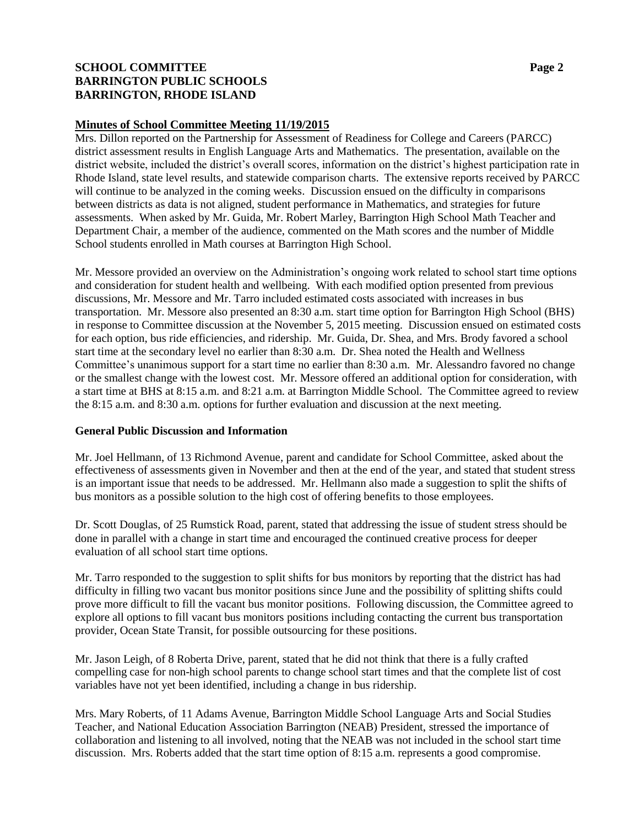# **SCHOOL COMMITTEE Page 2 BARRINGTON PUBLIC SCHOOLS BARRINGTON, RHODE ISLAND**

### **Minutes of School Committee Meeting 11/19/2015**

Mrs. Dillon reported on the Partnership for Assessment of Readiness for College and Careers (PARCC) district assessment results in English Language Arts and Mathematics. The presentation, available on the district website, included the district's overall scores, information on the district's highest participation rate in Rhode Island, state level results, and statewide comparison charts. The extensive reports received by PARCC will continue to be analyzed in the coming weeks. Discussion ensued on the difficulty in comparisons between districts as data is not aligned, student performance in Mathematics, and strategies for future assessments. When asked by Mr. Guida, Mr. Robert Marley, Barrington High School Math Teacher and Department Chair, a member of the audience, commented on the Math scores and the number of Middle School students enrolled in Math courses at Barrington High School.

Mr. Messore provided an overview on the Administration's ongoing work related to school start time options and consideration for student health and wellbeing. With each modified option presented from previous discussions, Mr. Messore and Mr. Tarro included estimated costs associated with increases in bus transportation. Mr. Messore also presented an 8:30 a.m. start time option for Barrington High School (BHS) in response to Committee discussion at the November 5, 2015 meeting. Discussion ensued on estimated costs for each option, bus ride efficiencies, and ridership. Mr. Guida, Dr. Shea, and Mrs. Brody favored a school start time at the secondary level no earlier than 8:30 a.m. Dr. Shea noted the Health and Wellness Committee's unanimous support for a start time no earlier than 8:30 a.m. Mr. Alessandro favored no change or the smallest change with the lowest cost. Mr. Messore offered an additional option for consideration, with a start time at BHS at 8:15 a.m. and 8:21 a.m. at Barrington Middle School. The Committee agreed to review the 8:15 a.m. and 8:30 a.m. options for further evaluation and discussion at the next meeting.

### **General Public Discussion and Information**

Mr. Joel Hellmann, of 13 Richmond Avenue, parent and candidate for School Committee, asked about the effectiveness of assessments given in November and then at the end of the year, and stated that student stress is an important issue that needs to be addressed. Mr. Hellmann also made a suggestion to split the shifts of bus monitors as a possible solution to the high cost of offering benefits to those employees.

Dr. Scott Douglas, of 25 Rumstick Road, parent, stated that addressing the issue of student stress should be done in parallel with a change in start time and encouraged the continued creative process for deeper evaluation of all school start time options.

Mr. Tarro responded to the suggestion to split shifts for bus monitors by reporting that the district has had difficulty in filling two vacant bus monitor positions since June and the possibility of splitting shifts could prove more difficult to fill the vacant bus monitor positions. Following discussion, the Committee agreed to explore all options to fill vacant bus monitors positions including contacting the current bus transportation provider, Ocean State Transit, for possible outsourcing for these positions.

Mr. Jason Leigh, of 8 Roberta Drive, parent, stated that he did not think that there is a fully crafted compelling case for non-high school parents to change school start times and that the complete list of cost variables have not yet been identified, including a change in bus ridership.

Mrs. Mary Roberts, of 11 Adams Avenue, Barrington Middle School Language Arts and Social Studies Teacher, and National Education Association Barrington (NEAB) President, stressed the importance of collaboration and listening to all involved, noting that the NEAB was not included in the school start time discussion. Mrs. Roberts added that the start time option of 8:15 a.m. represents a good compromise.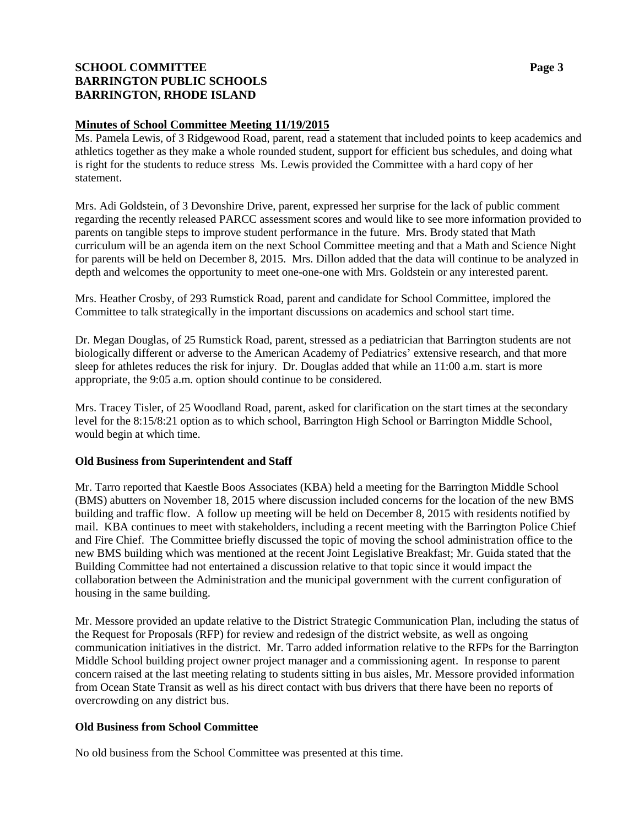# **SCHOOL COMMITTEE Page 3 BARRINGTON PUBLIC SCHOOLS BARRINGTON, RHODE ISLAND**

### **Minutes of School Committee Meeting 11/19/2015**

Ms. Pamela Lewis, of 3 Ridgewood Road, parent, read a statement that included points to keep academics and athletics together as they make a whole rounded student, support for efficient bus schedules, and doing what is right for the students to reduce stress Ms. Lewis provided the Committee with a hard copy of her statement.

Mrs. Adi Goldstein, of 3 Devonshire Drive, parent, expressed her surprise for the lack of public comment regarding the recently released PARCC assessment scores and would like to see more information provided to parents on tangible steps to improve student performance in the future. Mrs. Brody stated that Math curriculum will be an agenda item on the next School Committee meeting and that a Math and Science Night for parents will be held on December 8, 2015. Mrs. Dillon added that the data will continue to be analyzed in depth and welcomes the opportunity to meet one-one-one with Mrs. Goldstein or any interested parent.

Mrs. Heather Crosby, of 293 Rumstick Road, parent and candidate for School Committee, implored the Committee to talk strategically in the important discussions on academics and school start time.

Dr. Megan Douglas, of 25 Rumstick Road, parent, stressed as a pediatrician that Barrington students are not biologically different or adverse to the American Academy of Pediatrics' extensive research, and that more sleep for athletes reduces the risk for injury. Dr. Douglas added that while an 11:00 a.m. start is more appropriate, the 9:05 a.m. option should continue to be considered.

Mrs. Tracey Tisler, of 25 Woodland Road, parent, asked for clarification on the start times at the secondary level for the 8:15/8:21 option as to which school, Barrington High School or Barrington Middle School, would begin at which time.

### **Old Business from Superintendent and Staff**

Mr. Tarro reported that Kaestle Boos Associates (KBA) held a meeting for the Barrington Middle School (BMS) abutters on November 18, 2015 where discussion included concerns for the location of the new BMS building and traffic flow. A follow up meeting will be held on December 8, 2015 with residents notified by mail. KBA continues to meet with stakeholders, including a recent meeting with the Barrington Police Chief and Fire Chief. The Committee briefly discussed the topic of moving the school administration office to the new BMS building which was mentioned at the recent Joint Legislative Breakfast; Mr. Guida stated that the Building Committee had not entertained a discussion relative to that topic since it would impact the collaboration between the Administration and the municipal government with the current configuration of housing in the same building.

Mr. Messore provided an update relative to the District Strategic Communication Plan, including the status of the Request for Proposals (RFP) for review and redesign of the district website, as well as ongoing communication initiatives in the district. Mr. Tarro added information relative to the RFPs for the Barrington Middle School building project owner project manager and a commissioning agent. In response to parent concern raised at the last meeting relating to students sitting in bus aisles, Mr. Messore provided information from Ocean State Transit as well as his direct contact with bus drivers that there have been no reports of overcrowding on any district bus.

# **Old Business from School Committee**

No old business from the School Committee was presented at this time.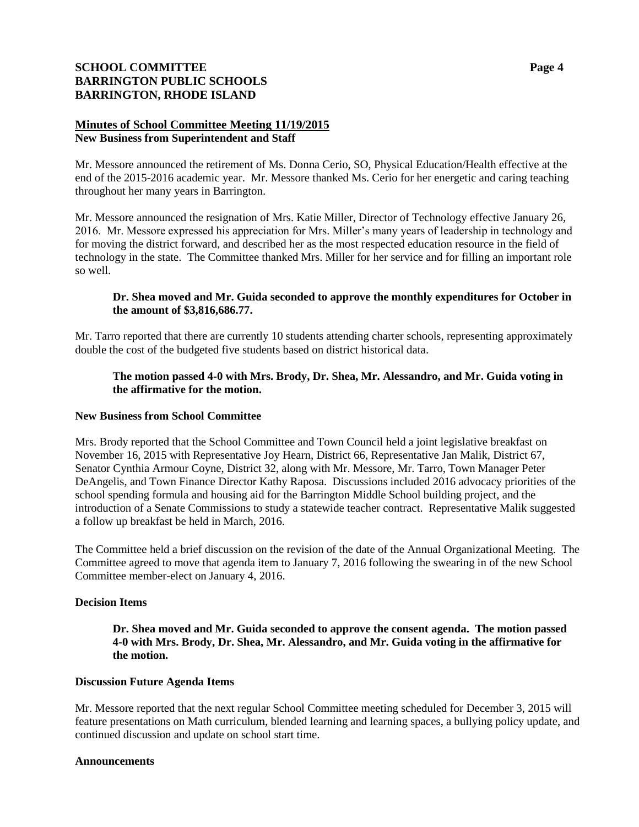# **SCHOOL COMMITTEE Page 4 BARRINGTON PUBLIC SCHOOLS BARRINGTON, RHODE ISLAND**

### **Minutes of School Committee Meeting 11/19/2015 New Business from Superintendent and Staff**

Mr. Messore announced the retirement of Ms. Donna Cerio, SO, Physical Education/Health effective at the end of the 2015-2016 academic year. Mr. Messore thanked Ms. Cerio for her energetic and caring teaching throughout her many years in Barrington.

Mr. Messore announced the resignation of Mrs. Katie Miller, Director of Technology effective January 26, 2016. Mr. Messore expressed his appreciation for Mrs. Miller's many years of leadership in technology and for moving the district forward, and described her as the most respected education resource in the field of technology in the state. The Committee thanked Mrs. Miller for her service and for filling an important role so well.

### **Dr. Shea moved and Mr. Guida seconded to approve the monthly expenditures for October in the amount of \$3,816,686.77.**

Mr. Tarro reported that there are currently 10 students attending charter schools, representing approximately double the cost of the budgeted five students based on district historical data.

### **The motion passed 4-0 with Mrs. Brody, Dr. Shea, Mr. Alessandro, and Mr. Guida voting in the affirmative for the motion.**

#### **New Business from School Committee**

Mrs. Brody reported that the School Committee and Town Council held a joint legislative breakfast on November 16, 2015 with Representative Joy Hearn, District 66, Representative Jan Malik, District 67, Senator Cynthia Armour Coyne, District 32, along with Mr. Messore, Mr. Tarro, Town Manager Peter DeAngelis, and Town Finance Director Kathy Raposa. Discussions included 2016 advocacy priorities of the school spending formula and housing aid for the Barrington Middle School building project, and the introduction of a Senate Commissions to study a statewide teacher contract. Representative Malik suggested a follow up breakfast be held in March, 2016.

The Committee held a brief discussion on the revision of the date of the Annual Organizational Meeting. The Committee agreed to move that agenda item to January 7, 2016 following the swearing in of the new School Committee member-elect on January 4, 2016.

### **Decision Items**

**Dr. Shea moved and Mr. Guida seconded to approve the consent agenda. The motion passed 4-0 with Mrs. Brody, Dr. Shea, Mr. Alessandro, and Mr. Guida voting in the affirmative for the motion.**

### **Discussion Future Agenda Items**

Mr. Messore reported that the next regular School Committee meeting scheduled for December 3, 2015 will feature presentations on Math curriculum, blended learning and learning spaces, a bullying policy update, and continued discussion and update on school start time.

#### **Announcements**